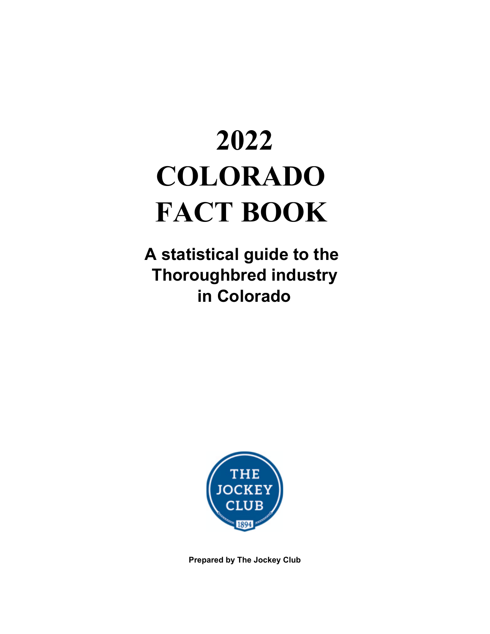# **2022 COLORADO FACT BOOK**

**A statistical guide to the Thoroughbred industry in Colorado**



**Prepared by The Jockey Club**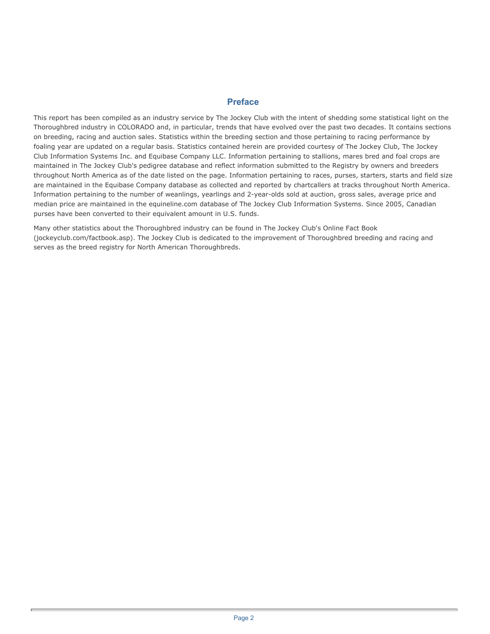#### **Preface**

This report has been compiled as an industry service by The Jockey Club with the intent of shedding some statistical light on the Thoroughbred industry in COLORADO and, in particular, trends that have evolved over the past two decades. It contains sections on breeding, racing and auction sales. Statistics within the breeding section and those pertaining to racing performance by foaling year are updated on a regular basis. Statistics contained herein are provided courtesy of The Jockey Club, The Jockey Club Information Systems Inc. and Equibase Company LLC. Information pertaining to stallions, mares bred and foal crops are maintained in The Jockey Club's pedigree database and reflect information submitted to the Registry by owners and breeders throughout North America as of the date listed on the page. Information pertaining to races, purses, starters, starts and field size are maintained in the Equibase Company database as collected and reported by chartcallers at tracks throughout North America. Information pertaining to the number of weanlings, yearlings and 2-year-olds sold at auction, gross sales, average price and median price are maintained in the equineline.com database of The Jockey Club Information Systems. Since 2005, Canadian purses have been converted to their equivalent amount in U.S. funds.

Many other statistics about the Thoroughbred industry can be found in The Jockey Club's Online Fact Book (jockeyclub.com/factbook.asp). The Jockey Club is dedicated to the improvement of Thoroughbred breeding and racing and serves as the breed registry for North American Thoroughbreds.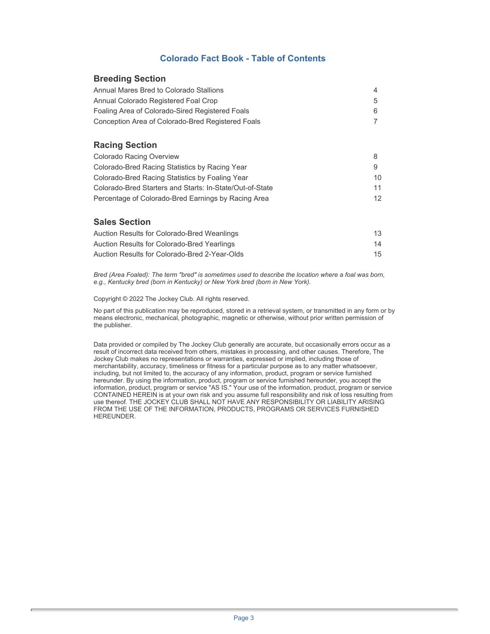#### **Colorado Fact Book - Table of Contents**

#### **Breeding Section**

| Annual Mares Bred to Colorado Stallions           |  |
|---------------------------------------------------|--|
| Annual Colorado Registered Foal Crop              |  |
| Foaling Area of Colorado-Sired Registered Foals   |  |
| Conception Area of Colorado-Bred Registered Foals |  |

#### **Racing Section**

| Colorado Racing Overview                                 |                 |
|----------------------------------------------------------|-----------------|
| Colorado-Bred Racing Statistics by Racing Year           |                 |
| Colorado-Bred Racing Statistics by Foaling Year          | 10.             |
| Colorado-Bred Starters and Starts: In-State/Out-of-State | 11              |
| Percentage of Colorado-Bred Earnings by Racing Area      | 12 <sup>°</sup> |

#### **Sales Section**

| Auction Results for Colorado-Bred Weanlings   | 13 |
|-----------------------------------------------|----|
| Auction Results for Colorado-Bred Yearlings   | 14 |
| Auction Results for Colorado-Bred 2-Year-Olds | 15 |

*Bred (Area Foaled): The term "bred" is sometimes used to describe the location where a foal was born, e.g., Kentucky bred (born in Kentucky) or New York bred (born in New York).* 

Copyright © 2022 The Jockey Club. All rights reserved.

No part of this publication may be reproduced, stored in a retrieval system, or transmitted in any form or by means electronic, mechanical, photographic, magnetic or otherwise, without prior written permission of the publisher.

Data provided or compiled by The Jockey Club generally are accurate, but occasionally errors occur as a result of incorrect data received from others, mistakes in processing, and other causes. Therefore, The Jockey Club makes no representations or warranties, expressed or implied, including those of merchantability, accuracy, timeliness or fitness for a particular purpose as to any matter whatsoever, including, but not limited to, the accuracy of any information, product, program or service furnished hereunder. By using the information, product, program or service furnished hereunder, you accept the information, product, program or service "AS IS." Your use of the information, product, program or service CONTAINED HEREIN is at your own risk and you assume full responsibility and risk of loss resulting from use thereof. THE JOCKEY CLUB SHALL NOT HAVE ANY RESPONSIBILITY OR LIABILITY ARISING FROM THE USE OF THE INFORMATION, PRODUCTS, PROGRAMS OR SERVICES FURNISHED HEREUNDER.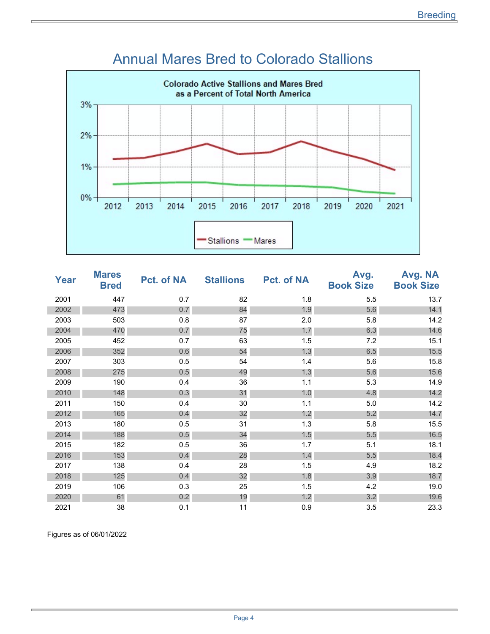

#### Annual Mares Bred to Colorado Stallions

| Year | <b>Mares</b><br><b>Bred</b> | Pct. of NA | <b>Stallions</b> | <b>Pct. of NA</b> | Avg.<br><b>Book Size</b> | Avg. NA<br><b>Book Size</b> |
|------|-----------------------------|------------|------------------|-------------------|--------------------------|-----------------------------|
| 2001 | 447                         | 0.7        | 82               | 1.8               | 5.5                      | 13.7                        |
| 2002 | 473                         | 0.7        | 84               | 1.9               | 5.6                      | 14.1                        |
| 2003 | 503                         | 0.8        | 87               | 2.0               | 5.8                      | 14.2                        |
| 2004 | 470                         | 0.7        | 75               | 1.7               | 6.3                      | 14.6                        |
| 2005 | 452                         | 0.7        | 63               | 1.5               | 7.2                      | 15.1                        |
| 2006 | 352                         | 0.6        | 54               | 1.3               | 6.5                      | 15.5                        |
| 2007 | 303                         | 0.5        | 54               | 1.4               | 5.6                      | 15.8                        |
| 2008 | 275                         | 0.5        | 49               | 1.3               | 5.6                      | 15.6                        |
| 2009 | 190                         | 0.4        | 36               | 1.1               | 5.3                      | 14.9                        |
| 2010 | 148                         | 0.3        | 31               | 1.0               | 4.8                      | 14.2                        |
| 2011 | 150                         | 0.4        | 30               | 1.1               | 5.0                      | 14.2                        |
| 2012 | 165                         | 0.4        | 32               | 1.2               | 5.2                      | 14.7                        |
| 2013 | 180                         | 0.5        | 31               | 1.3               | 5.8                      | 15.5                        |
| 2014 | 188                         | 0.5        | 34               | 1.5               | 5.5                      | 16.5                        |
| 2015 | 182                         | 0.5        | 36               | 1.7               | 5.1                      | 18.1                        |
| 2016 | 153                         | 0.4        | 28               | 1.4               | 5.5                      | 18.4                        |
| 2017 | 138                         | 0.4        | 28               | 1.5               | 4.9                      | 18.2                        |
| 2018 | 125                         | 0.4        | 32               | 1.8               | 3.9                      | 18.7                        |
| 2019 | 106                         | 0.3        | 25               | 1.5               | 4.2                      | 19.0                        |
| 2020 | 61                          | 0.2        | 19               | 1.2               | 3.2                      | 19.6                        |
| 2021 | 38                          | 0.1        | 11               | 0.9               | 3.5                      | 23.3                        |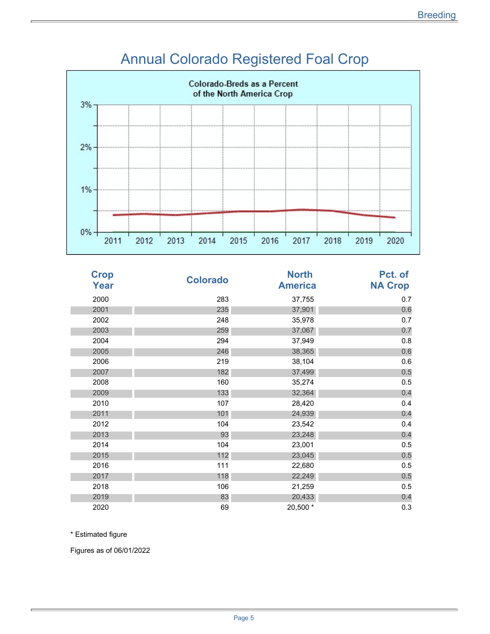

## Annual Colorado Registered Foal Crop

| <b>Crop</b><br>Year | <b>Colorado</b> | <b>North</b><br><b>America</b> | Pct. of<br><b>NA Crop</b> |
|---------------------|-----------------|--------------------------------|---------------------------|
| 2000                | 283             | 37,755                         | 0.7                       |
| 2001                | 235             | 37,901                         | 0.6                       |
| 2002                | 248             | 35,978                         | 0.7                       |
| 2003                | 259             | 37,067                         | 0.7                       |
| 2004                | 294             | 37,949                         | 0.8                       |
| 2005                | 246             | 38,365                         | 0.6                       |
| 2006                | 219             | 38,104                         | 0.6                       |
| 2007                | 182             | 37,499                         | 0.5                       |
| 2008                | 160             | 35,274                         | 0.5                       |
| 2009                | 133             | 32,364                         | 0.4                       |
| 2010                | 107             | 28,420                         | 0.4                       |
| 2011                | 101             | 24,939                         | 0.4                       |
| 2012                | 104             | 23,542                         | 0.4                       |
| 2013                | 93              | 23,248                         | 0.4                       |
| 2014                | 104             | 23,001                         | 0.5                       |
| 2015                | 112             | 23,045                         | 0.5                       |
| 2016                | 111             | 22,680                         | 0.5                       |
| 2017                | 118             | 22,249                         | 0.5                       |
| 2018                | 106             | 21,259                         | 0.5                       |
| 2019                | 83              | 20,433                         | 0.4                       |
| 2020                | 69              | 20,500 *                       | 0.3                       |

\* Estimated figure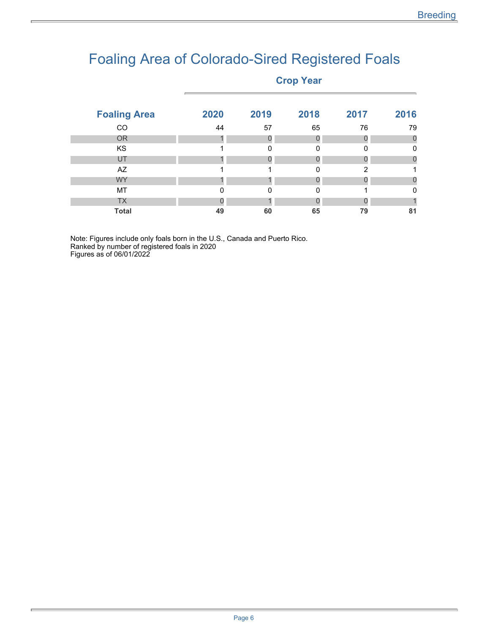# Foaling Area of Colorado-Sired Registered Foals

#### **Crop Year**

| <b>Foaling Area</b> | 2020 | 2019     | 2018 | 2017 | 2016     |
|---------------------|------|----------|------|------|----------|
| CO                  | 44   | 57       | 65   | 76   | 79       |
| <b>OR</b>           |      |          |      |      | 0        |
| <b>KS</b>           |      | $\Omega$ | 0    | ŋ    | 0        |
| UT                  |      |          |      |      | 0        |
| AZ                  |      |          | 0    | 2    |          |
| <b>WY</b>           |      |          |      |      | O        |
| MT                  | 0    | $\Omega$ | O    |      | $\Omega$ |
| <b>TX</b>           |      |          |      |      |          |
| <b>Total</b>        | 49   | 60       | 65   | 79   | 81       |

Note: Figures include only foals born in the U.S., Canada and Puerto Rico. Ranked by number of registered foals in 2020 Figures as of 06/01/2022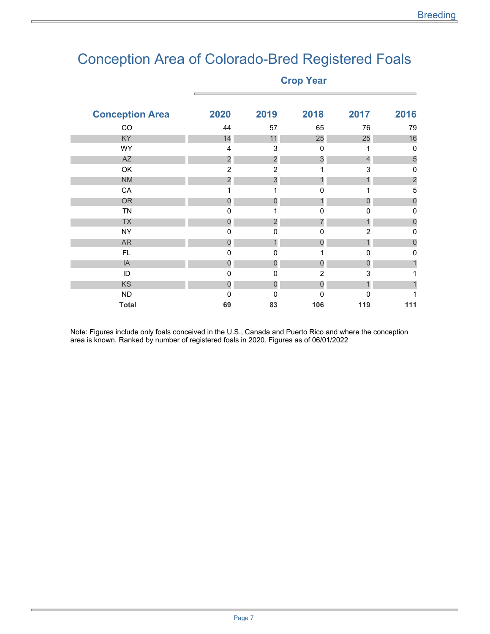### Conception Area of Colorado-Bred Registered Foals

**Crop Year** 

| <b>Conception Area</b> | 2020                    | 2019                      | 2018           | 2017           | 2016           |
|------------------------|-------------------------|---------------------------|----------------|----------------|----------------|
| CO                     | 44                      | 57                        | 65             | 76             | 79             |
| KY                     | 14                      | 11                        | 25             | 25             | 16             |
| <b>WY</b>              | $\overline{4}$          | $\ensuremath{\mathsf{3}}$ | 0              | 1              | $\mathbf 0$    |
| <b>AZ</b>              | $\overline{\mathbf{c}}$ | $\overline{c}$            | 3              | $\overline{4}$ | 5              |
| OK                     | $\overline{2}$          | $\overline{2}$            |                | 3              | 0              |
| <b>NM</b>              | $\overline{2}$          | 3                         |                |                | $\overline{2}$ |
| CA                     |                         | 1                         | $\mathbf 0$    |                | 5              |
| <b>OR</b>              | $\mathbf 0$             | 0                         |                | 0              | $\mathbf 0$    |
| <b>TN</b>              | 0                       |                           | 0              | 0              | 0              |
| <b>TX</b>              | 0                       | 2                         |                | 1              | 0              |
| <b>NY</b>              | 0                       | $\mathbf 0$               | $\mathbf 0$    | $\overline{2}$ | 0              |
| <b>AR</b>              | 0                       | 1                         | 0              |                | 0              |
| FL                     | 0                       | 0                         |                | 0              | 0              |
| IA                     | 0                       | 0                         | 0              | 0              |                |
| ID                     | 0                       | $\mathbf 0$               | $\overline{2}$ | 3              |                |
| KS                     | 0                       | 0                         | 0              |                |                |
| <b>ND</b>              | 0                       | 0                         | 0              | n              |                |
| <b>Total</b>           | 69                      | 83                        | 106            | 119            | 111            |
|                        |                         |                           |                |                |                |

Note: Figures include only foals conceived in the U.S., Canada and Puerto Rico and where the conception area is known. Ranked by number of registered foals in 2020. Figures as of 06/01/2022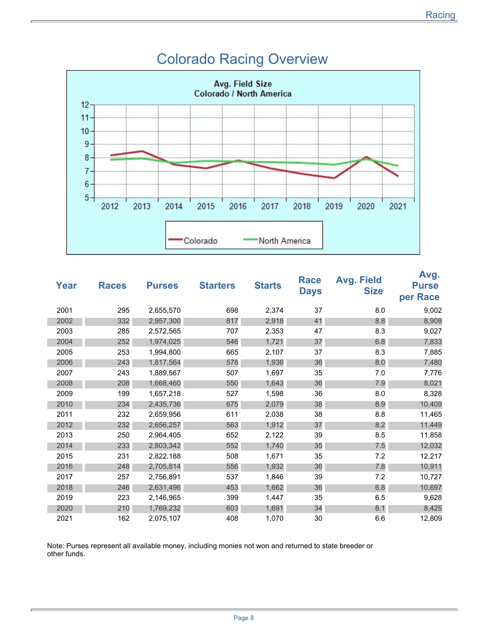

#### Colorado Racing Overview

| Year | <b>Races</b> | <b>Purses</b> | <b>Starters</b> | <b>Starts</b> | <b>Race</b><br><b>Days</b> | <b>Avg. Field</b><br><b>Size</b> | Avg.<br><b>Purse</b><br>per Race |
|------|--------------|---------------|-----------------|---------------|----------------------------|----------------------------------|----------------------------------|
| 2001 | 295          | 2,655,570     | 698             | 2,374         | 37                         | 8.0                              | 9,002                            |
| 2002 | 332          | 2,957,300     | 817             | 2,918         | 41                         | 8.8                              | 8,908                            |
| 2003 | 285          | 2,572,565     | 707             | 2,353         | 47                         | 8.3                              | 9,027                            |
| 2004 | 252          | 1,974,025     | 546             | 1,721         | 37                         | 6.8                              | 7,833                            |
| 2005 | 253          | 1,994,800     | 665             | 2,107         | 37                         | 8.3                              | 7,885                            |
| 2006 | 243          | 1,817,564     | 578             | 1,936         | 36                         | 8.0                              | 7,480                            |
| 2007 | 243          | 1,889,567     | 507             | 1,697         | 35                         | 7.0                              | 7,776                            |
| 2008 | 208          | 1,668,460     | 550             | 1,643         | 36                         | 7.9                              | 8,021                            |
| 2009 | 199          | 1,657,218     | 527             | 1,598         | 36                         | 8.0                              | 8,328                            |
| 2010 | 234          | 2,435,736     | 675             | 2,079         | 38                         | 8.9                              | 10,409                           |
| 2011 | 232          | 2,659,956     | 611             | 2,038         | 38                         | 8.8                              | 11,465                           |
| 2012 | 232          | 2,656,257     | 563             | 1,912         | 37                         | 8.2                              | 11,449                           |
| 2013 | 250          | 2,964,405     | 652             | 2,122         | 39                         | 8.5                              | 11,858                           |
| 2014 | 233          | 2,803,342     | 552             | 1,740         | 35                         | 7.5                              | 12,032                           |
| 2015 | 231          | 2,822,188     | 508             | 1,671         | 35                         | 7.2                              | 12,217                           |
| 2016 | 248          | 2,705,814     | 556             | 1,932         | 36                         | 7.8                              | 10,911                           |
| 2017 | 257          | 2,756,891     | 537             | 1,846         | 39                         | 7.2                              | 10,727                           |
| 2018 | 246          | 2,631,496     | 453             | 1,662         | 36                         | 6.8                              | 10,697                           |
| 2019 | 223          | 2,146,965     | 399             | 1,447         | 35                         | 6.5                              | 9,628                            |
| 2020 | 210          | 1,769,232     | 603             | 1,691         | 34                         | 8.1                              | 8,425                            |
| 2021 | 162          | 2,075,107     | 408             | 1,070         | 30                         | 6.6                              | 12,809                           |

Note: Purses represent all available money, including monies not won and returned to state breeder or other funds.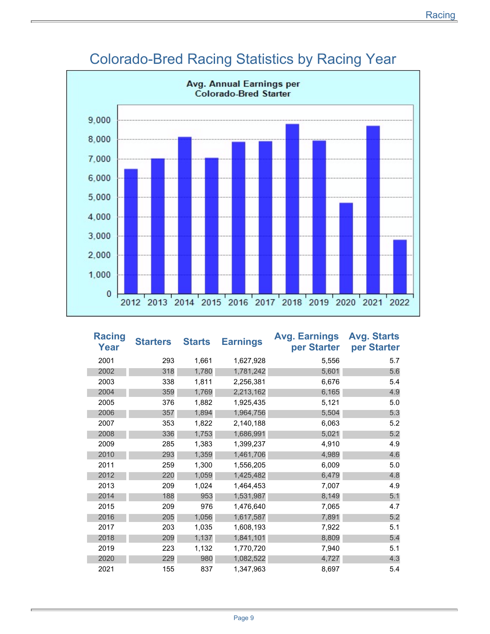

#### Colorado-Bred Racing Statistics by Racing Year

| <b>Racing</b><br><b>Year</b> | <b>Starters</b> | <b>Starts</b> | <b>Earnings</b> | <b>Avg. Earnings</b><br>per Starter | <b>Avg. Starts</b><br>per Starter |
|------------------------------|-----------------|---------------|-----------------|-------------------------------------|-----------------------------------|
| 2001                         | 293             | 1,661         | 1,627,928       | 5,556                               | 5.7                               |
| 2002                         | 318             | 1,780         | 1,781,242       | 5,601                               | 5.6                               |
| 2003                         | 338             | 1,811         | 2,256,381       | 6,676                               | 5.4                               |
| 2004                         | 359             | 1,769         | 2,213,162       | 6,165                               | 4.9                               |
| 2005                         | 376             | 1,882         | 1,925,435       | 5,121                               | 5.0                               |
| 2006                         | 357             | 1,894         | 1,964,756       | 5,504                               | 5.3                               |
| 2007                         | 353             | 1,822         | 2,140,188       | 6,063                               | 5.2                               |
| 2008                         | 336             | 1,753         | 1,686,991       | 5,021                               | 5.2                               |
| 2009                         | 285             | 1,383         | 1,399,237       | 4,910                               | 4.9                               |
| 2010                         | 293             | 1,359         | 1,461,706       | 4,989                               | 4.6                               |
| 2011                         | 259             | 1,300         | 1,556,205       | 6,009                               | 5.0                               |
| 2012                         | 220             | 1,059         | 1,425,482       | 6,479                               | 4.8                               |
| 2013                         | 209             | 1,024         | 1,464,453       | 7,007                               | 4.9                               |
| 2014                         | 188             | 953           | 1,531,987       | 8,149                               | 5.1                               |
| 2015                         | 209             | 976           | 1,476,640       | 7,065                               | 4.7                               |
| 2016                         | 205             | 1,056         | 1,617,587       | 7,891                               | 5.2                               |
| 2017                         | 203             | 1,035         | 1,608,193       | 7,922                               | 5.1                               |
| 2018                         | 209             | 1,137         | 1,841,101       | 8,809                               | 5.4                               |
| 2019                         | 223             | 1,132         | 1,770,720       | 7,940                               | 5.1                               |
| 2020                         | 229             | 980           | 1,082,522       | 4,727                               | 4.3                               |
| 2021                         | 155             | 837           | 1,347,963       | 8,697                               | 5.4                               |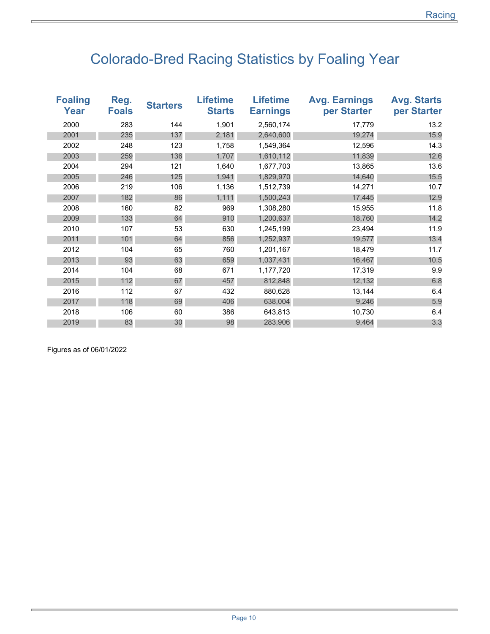## Colorado-Bred Racing Statistics by Foaling Year

| <b>Foaling</b><br>Year | Reg.<br><b>Foals</b> | <b>Starters</b> | <b>Lifetime</b><br><b>Starts</b> | <b>Lifetime</b><br><b>Earnings</b> | <b>Avg. Earnings</b><br>per Starter | <b>Avg. Starts</b><br>per Starter |
|------------------------|----------------------|-----------------|----------------------------------|------------------------------------|-------------------------------------|-----------------------------------|
| 2000                   | 283                  | 144             | 1,901                            | 2,560,174                          | 17,779                              | 13.2                              |
| 2001                   | 235                  | 137             | 2,181                            | 2,640,600                          | 19,274                              | 15.9                              |
| 2002                   | 248                  | 123             | 1,758                            | 1,549,364                          | 12,596                              | 14.3                              |
| 2003                   | 259                  | 136             | 1,707                            | 1,610,112                          | 11,839                              | 12.6                              |
| 2004                   | 294                  | 121             | 1,640                            | 1,677,703                          | 13,865                              | 13.6                              |
| 2005                   | 246                  | 125             | 1,941                            | 1,829,970                          | 14,640                              | 15.5                              |
| 2006                   | 219                  | 106             | 1,136                            | 1,512,739                          | 14,271                              | 10.7                              |
| 2007                   | 182                  | 86              | 1,111                            | 1,500,243                          | 17,445                              | 12.9                              |
| 2008                   | 160                  | 82              | 969                              | 1,308,280                          | 15,955                              | 11.8                              |
| 2009                   | 133                  | 64              | 910                              | 1,200,637                          | 18,760                              | 14.2                              |
| 2010                   | 107                  | 53              | 630                              | 1,245,199                          | 23,494                              | 11.9                              |
| 2011                   | 101                  | 64              | 856                              | 1,252,937                          | 19,577                              | 13.4                              |
| 2012                   | 104                  | 65              | 760                              | 1,201,167                          | 18,479                              | 11.7                              |
| 2013                   | 93                   | 63              | 659                              | 1,037,431                          | 16,467                              | 10.5                              |
| 2014                   | 104                  | 68              | 671                              | 1,177,720                          | 17,319                              | 9.9                               |
| 2015                   | 112                  | 67              | 457                              | 812,848                            | 12,132                              | 6.8                               |
| 2016                   | 112                  | 67              | 432                              | 880,628                            | 13,144                              | 6.4                               |
| 2017                   | 118                  | 69              | 406                              | 638,004                            | 9,246                               | 5.9                               |
| 2018                   | 106                  | 60              | 386                              | 643,813                            | 10,730                              | 6.4                               |
| 2019                   | 83                   | 30              | 98                               | 283,906                            | 9,464                               | 3.3                               |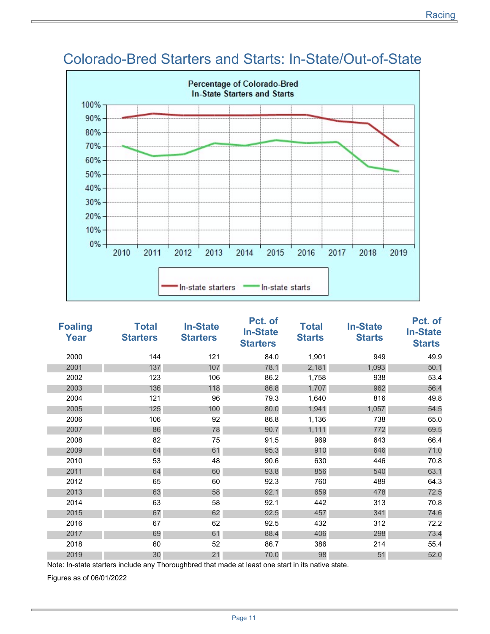

### Colorado-Bred Starters and Starts: In-State/Out-of-State

| <b>Foaling</b><br>Year | <b>Total</b><br><b>Starters</b> | <b>In-State</b><br><b>Starters</b> | Pct. of<br><b>In-State</b><br><b>Starters</b> | <b>Total</b><br><b>Starts</b> | <b>In-State</b><br><b>Starts</b> | Pct. of<br><b>In-State</b><br><b>Starts</b> |
|------------------------|---------------------------------|------------------------------------|-----------------------------------------------|-------------------------------|----------------------------------|---------------------------------------------|
| 2000                   | 144                             | 121                                | 84.0                                          | 1,901                         | 949                              | 49.9                                        |
| 2001                   | 137                             | 107                                | 78.1                                          | 2,181                         | 1,093                            | 50.1                                        |
| 2002                   | 123                             | 106                                | 86.2                                          | 1,758                         | 938                              | 53.4                                        |
| 2003                   | 136                             | 118                                | 86.8                                          | 1,707                         | 962                              | 56.4                                        |
| 2004                   | 121                             | 96                                 | 79.3                                          | 1,640                         | 816                              | 49.8                                        |
| 2005                   | 125                             | 100                                | 80.0                                          | 1,941                         | 1,057                            | 54.5                                        |
| 2006                   | 106                             | 92                                 | 86.8                                          | 1,136                         | 738                              | 65.0                                        |
| 2007                   | 86                              | 78                                 | 90.7                                          | 1,111                         | 772                              | 69.5                                        |
| 2008                   | 82                              | 75                                 | 91.5                                          | 969                           | 643                              | 66.4                                        |
| 2009                   | 64                              | 61                                 | 95.3                                          | 910                           | 646                              | 71.0                                        |
| 2010                   | 53                              | 48                                 | 90.6                                          | 630                           | 446                              | 70.8                                        |
| 2011                   | 64                              | 60                                 | 93.8                                          | 856                           | 540                              | 63.1                                        |
| 2012                   | 65                              | 60                                 | 92.3                                          | 760                           | 489                              | 64.3                                        |
| 2013                   | 63                              | 58                                 | 92.1                                          | 659                           | 478                              | 72.5                                        |
| 2014                   | 63                              | 58                                 | 92.1                                          | 442                           | 313                              | 70.8                                        |
| 2015                   | 67                              | 62                                 | 92.5                                          | 457                           | 341                              | 74.6                                        |
| 2016                   | 67                              | 62                                 | 92.5                                          | 432                           | 312                              | 72.2                                        |
| 2017                   | 69                              | 61                                 | 88.4                                          | 406                           | 298                              | 73.4                                        |
| 2018                   | 60                              | 52                                 | 86.7                                          | 386                           | 214                              | 55.4                                        |
| 2019                   | 30                              | 21                                 | 70.0                                          | 98                            | 51                               | 52.0                                        |

Note: In-state starters include any Thoroughbred that made at least one start in its native state.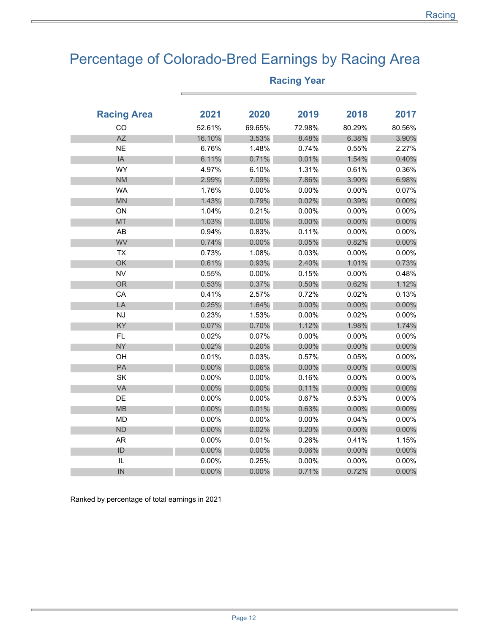### Percentage of Colorado-Bred Earnings by Racing Area

| <b>Racing Area</b> | 2021   | 2020     | 2019   | 2018     | 2017     |
|--------------------|--------|----------|--------|----------|----------|
| CO                 | 52.61% | 69.65%   | 72.98% | 80.29%   | 80.56%   |
| <b>AZ</b>          | 16.10% | 3.53%    | 8.48%  | 6.38%    | 3.90%    |
| <b>NE</b>          | 6.76%  | 1.48%    | 0.74%  | 0.55%    | 2.27%    |
| IA                 | 6.11%  | 0.71%    | 0.01%  | 1.54%    | 0.40%    |
| <b>WY</b>          | 4.97%  | 6.10%    | 1.31%  | 0.61%    | 0.36%    |
| <b>NM</b>          | 2.99%  | 7.09%    | 7.86%  | 3.90%    | 6.98%    |
| <b>WA</b>          | 1.76%  | 0.00%    | 0.00%  | 0.00%    | 0.07%    |
| <b>MN</b>          | 1.43%  | 0.79%    | 0.02%  | 0.39%    | 0.00%    |
| ON                 | 1.04%  | 0.21%    | 0.00%  | 0.00%    | $0.00\%$ |
| <b>MT</b>          | 1.03%  | $0.00\%$ | 0.00%  | 0.00%    | 0.00%    |
| AB                 | 0.94%  | 0.83%    | 0.11%  | 0.00%    | 0.00%    |
| WV                 | 0.74%  | $0.00\%$ | 0.05%  | 0.82%    | 0.00%    |
| <b>TX</b>          | 0.73%  | 1.08%    | 0.03%  | 0.00%    | 0.00%    |
| OK                 | 0.61%  | 0.93%    | 2.40%  | 1.01%    | 0.73%    |
| <b>NV</b>          | 0.55%  | 0.00%    | 0.15%  | 0.00%    | 0.48%    |
| <b>OR</b>          | 0.53%  | 0.37%    | 0.50%  | 0.62%    | 1.12%    |
| CA                 | 0.41%  | 2.57%    | 0.72%  | 0.02%    | 0.13%    |
| LA                 | 0.25%  | 1.64%    | 0.00%  | 0.00%    | 0.00%    |
| <b>NJ</b>          | 0.23%  | 1.53%    | 0.00%  | 0.02%    | 0.00%    |
| KY                 | 0.07%  | 0.70%    | 1.12%  | 1.98%    | 1.74%    |
| FL.                | 0.02%  | 0.07%    | 0.00%  | 0.00%    | 0.00%    |
| <b>NY</b>          | 0.02%  | 0.20%    | 0.00%  | 0.00%    | 0.00%    |
| OH                 | 0.01%  | 0.03%    | 0.57%  | 0.05%    | 0.00%    |
| PA                 | 0.00%  | 0.06%    | 0.00%  | 0.00%    | 0.00%    |
| SK                 | 0.00%  | 0.00%    | 0.16%  | 0.00%    | 0.00%    |
| VA                 | 0.00%  | $0.00\%$ | 0.11%  | 0.00%    | 0.00%    |
| DE                 | 0.00%  | 0.00%    | 0.67%  | 0.53%    | 0.00%    |
| <b>MB</b>          | 0.00%  | 0.01%    | 0.63%  | 0.00%    | 0.00%    |
| <b>MD</b>          | 0.00%  | $0.00\%$ | 0.00%  | 0.04%    | $0.00\%$ |
| <b>ND</b>          | 0.00%  | 0.02%    | 0.20%  | 0.00%    | 0.00%    |
| <b>AR</b>          | 0.00%  | 0.01%    | 0.26%  | 0.41%    | 1.15%    |
| ID                 | 0.00%  | $0.00\%$ | 0.06%  | $0.00\%$ | 0.00%    |
| $\sf IL$           | 0.00%  | 0.25%    | 0.00%  | 0.00%    | $0.00\%$ |
| IN                 | 0.00%  | 0.00%    | 0.71%  | 0.72%    | $0.00\%$ |

#### **Racing Year**

Ranked by percentage of total earnings in 2021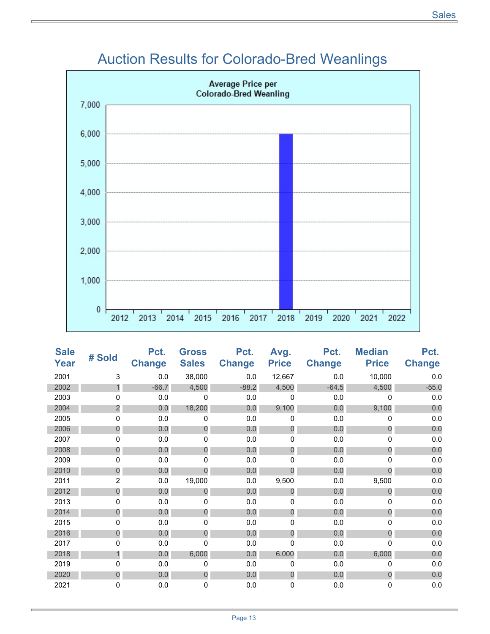

#### Auction Results for Colorado-Bred Weanlings

| <b>Sale</b><br>Year | # Sold         | Pct.<br><b>Change</b> | <b>Gross</b><br><b>Sales</b> | Pct.<br><b>Change</b> | Avg.<br><b>Price</b> | Pct.<br><b>Change</b> | <b>Median</b><br><b>Price</b> | Pct.<br><b>Change</b> |
|---------------------|----------------|-----------------------|------------------------------|-----------------------|----------------------|-----------------------|-------------------------------|-----------------------|
| 2001                | 3              | 0.0                   | 38,000                       | 0.0                   | 12,667               | 0.0                   | 10,000                        | 0.0                   |
| 2002                |                | $-66.7$               | 4,500                        | $-88.2$               | 4,500                | $-64.5$               | 4,500                         | $-55.0$               |
| 2003                | 0              | 0.0                   | 0                            | 0.0                   | $\Omega$             | 0.0                   | 0                             | 0.0                   |
| 2004                | $\overline{c}$ | 0.0                   | 18,200                       | 0.0                   | 9,100                | 0.0                   | 9,100                         | 0.0                   |
| 2005                | 0              | 0.0                   | 0                            | 0.0                   | 0                    | 0.0                   | 0                             | 0.0                   |
| 2006                | 0              | 0.0                   | 0                            | 0.0                   | $\mathbf 0$          | 0.0                   | 0                             | 0.0                   |
| 2007                | 0              | 0.0                   | 0                            | 0.0                   | 0                    | 0.0                   | 0                             | 0.0                   |
| 2008                | 0              | 0.0                   | 0                            | 0.0                   | 0                    | 0.0                   | $\Omega$                      | 0.0                   |
| 2009                | 0              | 0.0                   | 0                            | 0.0                   | 0                    | 0.0                   | 0                             | 0.0                   |
| 2010                | 0              | 0.0                   | 0                            | 0.0                   | $\overline{0}$       | 0.0                   | $\Omega$                      | 0.0                   |
| 2011                | $\overline{2}$ | 0.0                   | 19,000                       | 0.0                   | 9,500                | 0.0                   | 9,500                         | 0.0                   |
| 2012                | 0              | 0.0                   | $\overline{0}$               | 0.0                   | $\overline{0}$       | 0.0                   | $\Omega$                      | 0.0                   |
| 2013                | 0              | 0.0                   | 0                            | 0.0                   | 0                    | 0.0                   | 0                             | 0.0                   |
| 2014                | 0              | 0.0                   | 0                            | 0.0                   | 0                    | 0.0                   | 0                             | 0.0                   |
| 2015                | 0              | 0.0                   | 0                            | 0.0                   | 0                    | 0.0                   | 0                             | 0.0                   |
| 2016                | 0              | 0.0                   | 0                            | 0.0                   | 0                    | 0.0                   | $\Omega$                      | 0.0                   |
| 2017                | $\Omega$       | 0.0                   | 0                            | 0.0                   | 0                    | 0.0                   | 0                             | 0.0                   |
| 2018                | 1              | 0.0                   | 6,000                        | 0.0                   | 6,000                | 0.0                   | 6,000                         | 0.0                   |
| 2019                | 0              | 0.0                   | 0                            | 0.0                   | 0                    | 0.0                   | 0                             | 0.0                   |
| 2020                | 0              | 0.0                   | 0                            | 0.0                   | $\overline{0}$       | 0.0                   | $\overline{0}$                | 0.0                   |
| 2021                | 0              | 0.0                   | 0                            | 0.0                   | 0                    | 0.0                   | 0                             | 0.0                   |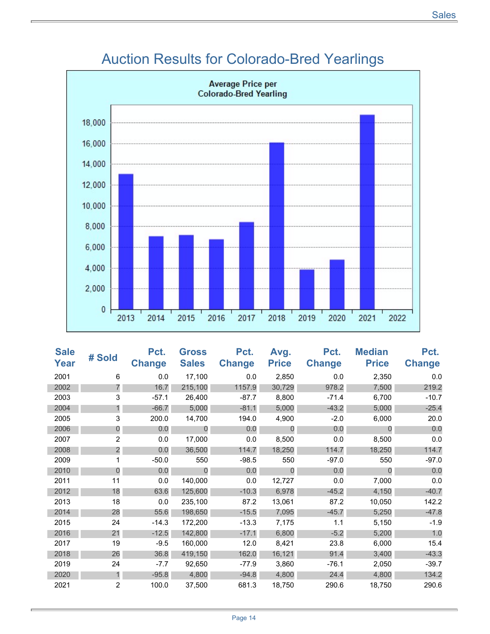

### Auction Results for Colorado-Bred Yearlings

| <b>Sale</b><br>Year | # Sold         | Pct.<br><b>Change</b> | <b>Gross</b><br><b>Sales</b> | Pct.<br><b>Change</b> | Avg.<br><b>Price</b> | Pct.<br><b>Change</b> | <b>Median</b><br><b>Price</b> | Pct.<br><b>Change</b> |
|---------------------|----------------|-----------------------|------------------------------|-----------------------|----------------------|-----------------------|-------------------------------|-----------------------|
| 2001                | 6              | 0.0                   | 17,100                       | 0.0                   | 2,850                | 0.0                   | 2,350                         | 0.0                   |
| 2002                | 7              | 16.7                  | 215,100                      | 1157.9                | 30,729               | 978.2                 | 7,500                         | 219.2                 |
| 2003                | 3              | $-57.1$               | 26,400                       | $-87.7$               | 8,800                | $-71.4$               | 6,700                         | $-10.7$               |
| 2004                | 1              | $-66.7$               | 5,000                        | $-81.1$               | 5,000                | $-43.2$               | 5,000                         | $-25.4$               |
| 2005                | 3              | 200.0                 | 14,700                       | 194.0                 | 4,900                | $-2.0$                | 6,000                         | 20.0                  |
| 2006                | $\mathbf 0$    | 0.0                   | 0                            | 0.0                   | 0                    | 0.0                   | $\overline{0}$                | 0.0                   |
| 2007                | $\overline{2}$ | 0.0                   | 17,000                       | 0.0                   | 8,500                | 0.0                   | 8,500                         | 0.0                   |
| 2008                | 2              | 0.0                   | 36,500                       | 114.7                 | 18,250               | 114.7                 | 18,250                        | 114.7                 |
| 2009                |                | $-50.0$               | 550                          | $-98.5$               | 550                  | $-97.0$               | 550                           | $-97.0$               |
| 2010                | $\overline{0}$ | 0.0                   | $\overline{0}$               | 0.0                   | $\overline{0}$       | 0.0                   | $\Omega$                      | 0.0                   |
| 2011                | 11             | 0.0                   | 140,000                      | 0.0                   | 12,727               | 0.0                   | 7,000                         | 0.0                   |
| 2012                | 18             | 63.6                  | 125,600                      | $-10.3$               | 6,978                | $-45.2$               | 4,150                         | $-40.7$               |
| 2013                | 18             | 0.0                   | 235,100                      | 87.2                  | 13,061               | 87.2                  | 10,050                        | 142.2                 |
| 2014                | 28             | 55.6                  | 198,650                      | $-15.5$               | 7,095                | $-45.7$               | 5,250                         | $-47.8$               |
| 2015                | 24             | $-14.3$               | 172,200                      | $-13.3$               | 7,175                | 1.1                   | 5,150                         | $-1.9$                |
| 2016                | 21             | $-12.5$               | 142,800                      | $-17.1$               | 6,800                | $-5.2$                | 5,200                         | 1.0                   |
| 2017                | 19             | $-9.5$                | 160,000                      | 12.0                  | 8,421                | 23.8                  | 6,000                         | 15.4                  |
| 2018                | 26             | 36.8                  | 419,150                      | 162.0                 | 16,121               | 91.4                  | 3,400                         | $-43.3$               |
| 2019                | 24             | $-7.7$                | 92,650                       | $-77.9$               | 3,860                | $-76.1$               | 2,050                         | $-39.7$               |
| 2020                | $\mathbf{1}$   | $-95.8$               | 4,800                        | $-94.8$               | 4,800                | 24.4                  | 4,800                         | 134.2                 |
| 2021                | $\overline{2}$ | 100.0                 | 37,500                       | 681.3                 | 18,750               | 290.6                 | 18,750                        | 290.6                 |